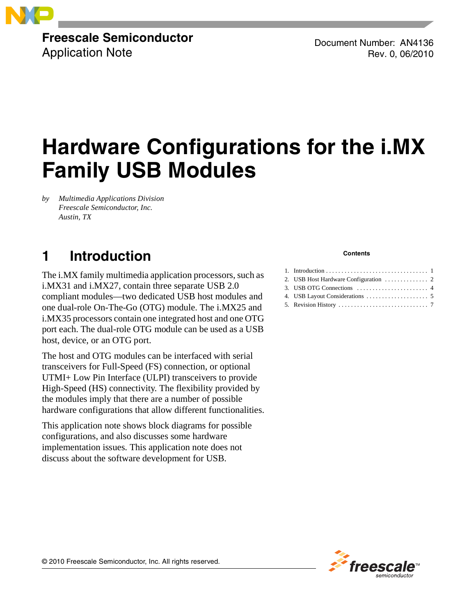### **Freescale Semiconductor** Application Note

Document Number: AN4136 Rev. 0, 06/2010

# **Hardware Configurations for the i.MX Family USB Modules**

*by Multimedia Applications Division Freescale Semiconductor, Inc. Austin, TX*

# <span id="page-0-0"></span>**1 Introduction**

The i.MX family multimedia application processors, such as i.MX31 and i.MX27, contain three separate USB 2.0 compliant modules—two dedicated USB host modules and one dual-role On-The-Go (OTG) module. The i.MX25 and i.MX35 processors contain one integrated host and one OTG port each. The dual-role OTG module can be used as a USB host, device, or an OTG port.

The host and OTG modules can be interfaced with serial transceivers for Full-Speed (FS) connection, or optional UTMI+ Low Pin Interface (ULPI) transceivers to provide High-Speed (HS) connectivity. The flexibility provided by the modules imply that there are a number of possible hardware configurations that allow different functionalities.

This application note shows block diagrams for possible configurations, and also discusses some hardware implementation issues. This application note does not discuss about the software development for USB.

#### **Contents**

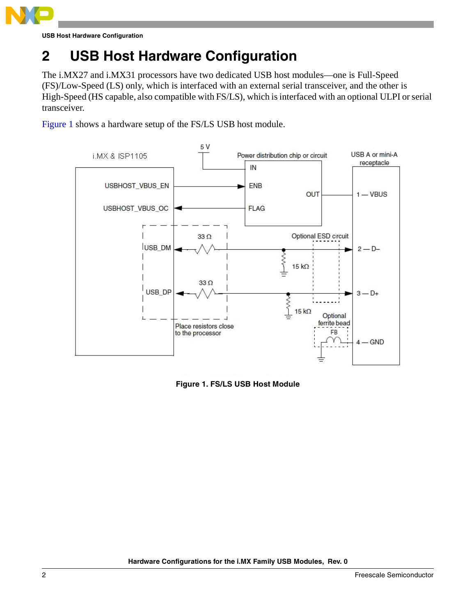

**USB Host Hardware Configuration**

# <span id="page-1-0"></span>**2 USB Host Hardware Configuration**

The i.MX27 and i.MX31 processors have two dedicated USB host modules—one is Full-Speed (FS)/Low-Speed (LS) only, which is interfaced with an external serial transceiver, and the other is High-Speed (HS capable, also compatible with FS/LS), which is interfaced with an optional ULPI or serial transceiver.

[Figure 1](#page-1-1) shows a hardware setup of the FS/LS USB host module.



<span id="page-1-1"></span>**Figure 1. FS/LS USB Host Module**

**Hardware Configurations for the i.MX Family USB Modules, Rev. 0**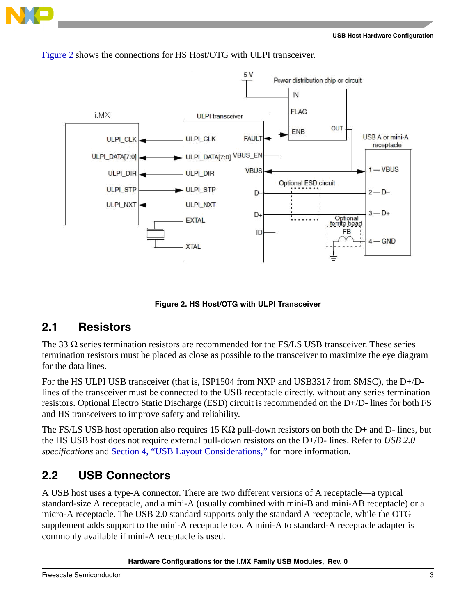



[Figure 2](#page-2-0) shows the connections for HS Host/OTG with ULPI transceiver.

**Figure 2. HS Host/OTG with ULPI Transceiver**

### <span id="page-2-0"></span>**2.1 Resistors**

The 33  $\Omega$  series termination resistors are recommended for the FS/LS USB transceiver. These series termination resistors must be placed as close as possible to the transceiver to maximize the eye diagram for the data lines.

For the HS ULPI USB transceiver (that is, ISP1504 from NXP and USB3317 from SMSC), the D+/Dlines of the transceiver must be connected to the USB receptacle directly, without any series termination resistors. Optional Electro Static Discharge (ESD) circuit is recommended on the D+/D- lines for both FS and HS transceivers to improve safety and reliability.

The FS/LS USB host operation also requires 15 K $\Omega$  pull-down resistors on both the D+ and D- lines, but the HS USB host does not require external pull-down resistors on the D+/D- lines. Refer to *USB 2.0 specifications* and Section 4, "USB Layout Considerations," for more information.

### **2.2 USB Connectors**

A USB host uses a type-A connector. There are two different versions of A receptacle—a typical standard-size A receptacle, and a mini-A (usually combined with mini-B and mini-AB receptacle) or a micro-A receptacle. The USB 2.0 standard supports only the standard A receptacle, while the OTG supplement adds support to the mini-A receptacle too. A mini-A to standard-A receptacle adapter is commonly available if mini-A receptacle is used.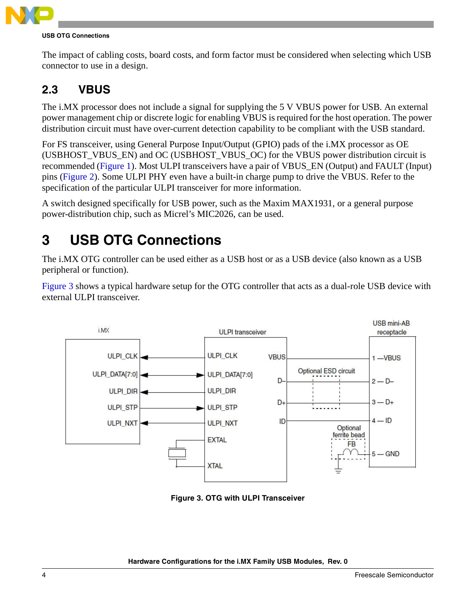

#### **USB OTG Connections**

The impact of cabling costs, board costs, and form factor must be considered when selecting which USB connector to use in a design.

### **2.3 VBUS**

The i.MX processor does not include a signal for supplying the 5 V VBUS power for USB. An external power management chip or discrete logic for enabling VBUS is required for the host operation. The power distribution circuit must have over-current detection capability to be compliant with the USB standard.

For FS transceiver, using General Purpose Input/Output (GPIO) pads of the i.MX processor as OE (USBHOST\_VBUS\_EN) and OC (USBHOST\_VBUS\_OC) for the VBUS power distribution circuit is recommended ([Figure 1\)](#page-1-1). Most ULPI transceivers have a pair of VBUS\_EN (Output) and FAULT (Input) pins [\(Figure 2](#page-2-0)). Some ULPI PHY even have a built-in charge pump to drive the VBUS. Refer to the specification of the particular ULPI transceiver for more information.

A switch designed specifically for USB power, such as the Maxim MAX1931, or a general purpose power-distribution chip, such as Micrel's MIC2026, can be used.

# <span id="page-3-0"></span>**3 USB OTG Connections**

The i.MX OTG controller can be used either as a USB host or as a USB device (also known as a USB peripheral or function).

[Figure 3](#page-3-1) shows a typical hardware setup for the OTG controller that acts as a dual-role USB device with external ULPI transceiver.



<span id="page-3-1"></span>**Figure 3. OTG with ULPI Transceiver**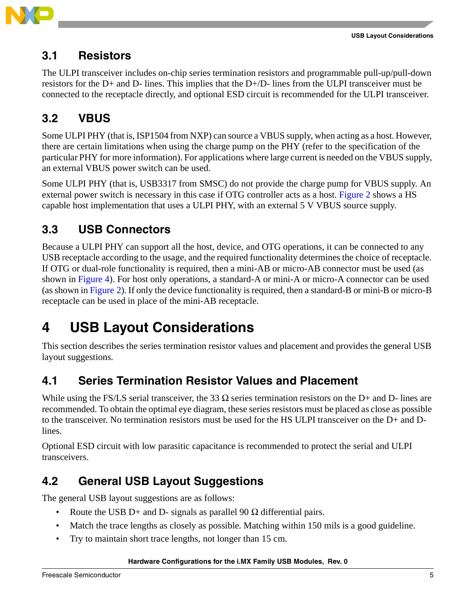

### **3.1 Resistors**

The ULPI transceiver includes on-chip series termination resistors and programmable pull-up/pull-down resistors for the D+ and D- lines. This implies that the D+/D- lines from the ULPI transceiver must be connected to the receptacle directly, and optional ESD circuit is recommended for the ULPI transceiver.

# **3.2 VBUS**

Some ULPI PHY (that is, ISP1504 from NXP) can source a VBUS supply, when acting as a host. However, there are certain limitations when using the charge pump on the PHY (refer to the specification of the particular PHY for more information). For applications where large current is needed on the VBUS supply, an external VBUS power switch can be used.

Some ULPI PHY (that is, USB3317 from SMSC) do not provide the charge pump for VBUS supply. An external power switch is necessary in this case if OTG controller acts as a host. [Figure 2](#page-2-0) shows a HS capable host implementation that uses a ULPI PHY, with an external 5 V VBUS source supply.

## **3.3 USB Connectors**

Because a ULPI PHY can support all the host, device, and OTG operations, it can be connected to any USB receptacle according to the usage, and the required functionality determines the choice of receptacle. If OTG or dual-role functionality is required, then a mini-AB or micro-AB connector must be used (as shown in [Figure 4\)](#page-5-0). For host only operations, a standard-A or mini-A or micro-A connector can be used (as shown in [Figure 2\)](#page-2-0). If only the device functionality is required, then a standard-B or mini-B or micro-B receptacle can be used in place of the mini-AB receptacle.

# <span id="page-4-0"></span>**4 USB Layout Considerations**

This section describes the series termination resistor values and placement and provides the general USB layout suggestions.

## **4.1 Series Termination Resistor Values and Placement**

While using the FS/LS serial transceiver, the 33  $\Omega$  series termination resistors on the D+ and D- lines are recommended. To obtain the optimal eye diagram, these series resistors must be placed as close as possible to the transceiver. No termination resistors must be used for the HS ULPI transceiver on the D+ and Dlines.

Optional ESD circuit with low parasitic capacitance is recommended to protect the serial and ULPI transceivers.

# **4.2 General USB Layout Suggestions**

The general USB layout suggestions are as follows:

- Route the USB D+ and D- signals as parallel 90  $\Omega$  differential pairs.
- Match the trace lengths as closely as possible. Matching within 150 mils is a good guideline.
- Try to maintain short trace lengths, not longer than 15 cm.

#### **Hardware Configurations for the i.MX Family USB Modules, Rev. 0**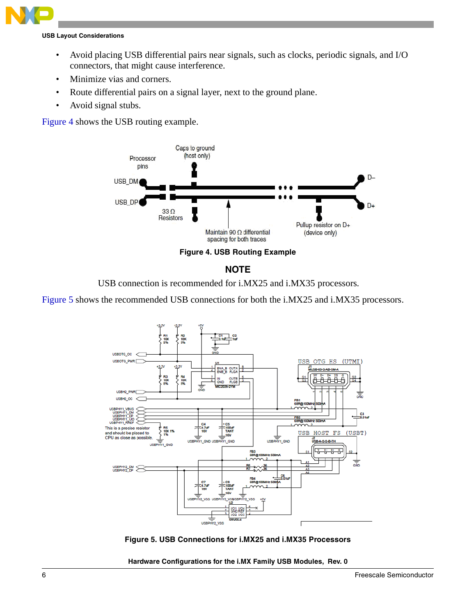### **USB Layout Considerations**

- Avoid placing USB differential pairs near signals, such as clocks, periodic signals, and I/O connectors, that might cause interference.
- Minimize vias and corners.
- Route differential pairs on a signal layer, next to the ground plane.
- Avoid signal stubs.

[Figure 4](#page-5-0) shows the USB routing example.





USB connection is recommended for i.MX25 and i.MX35 processors.

<span id="page-5-0"></span>[Figure 5](#page-5-1) shows the recommended USB connections for both the i.MX25 and i.MX35 processors.



<span id="page-5-1"></span>**Figure 5. USB Connections for i.MX25 and i.MX35 Processors**

**Hardware Configurations for the i.MX Family USB Modules, Rev. 0**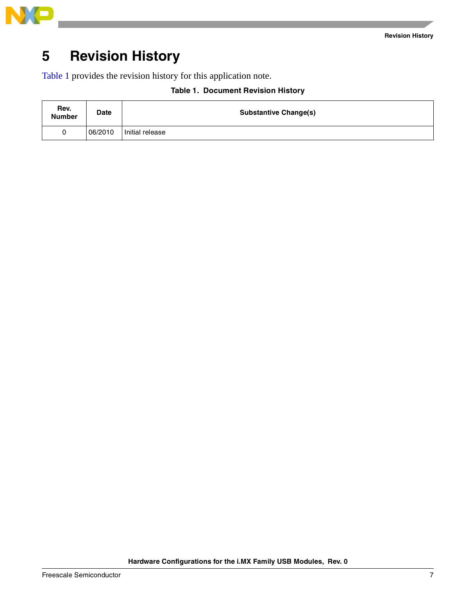

# <span id="page-6-0"></span>**5 Revision History**

<span id="page-6-1"></span>[Table 1](#page-6-1) provides the revision history for this application note.

| Rev.<br><b>Number</b> | <b>Date</b> | <b>Substantive Change(s)</b> |
|-----------------------|-------------|------------------------------|
|                       | 06/2010     | Initial release              |

### **Table 1. Document Revision History**